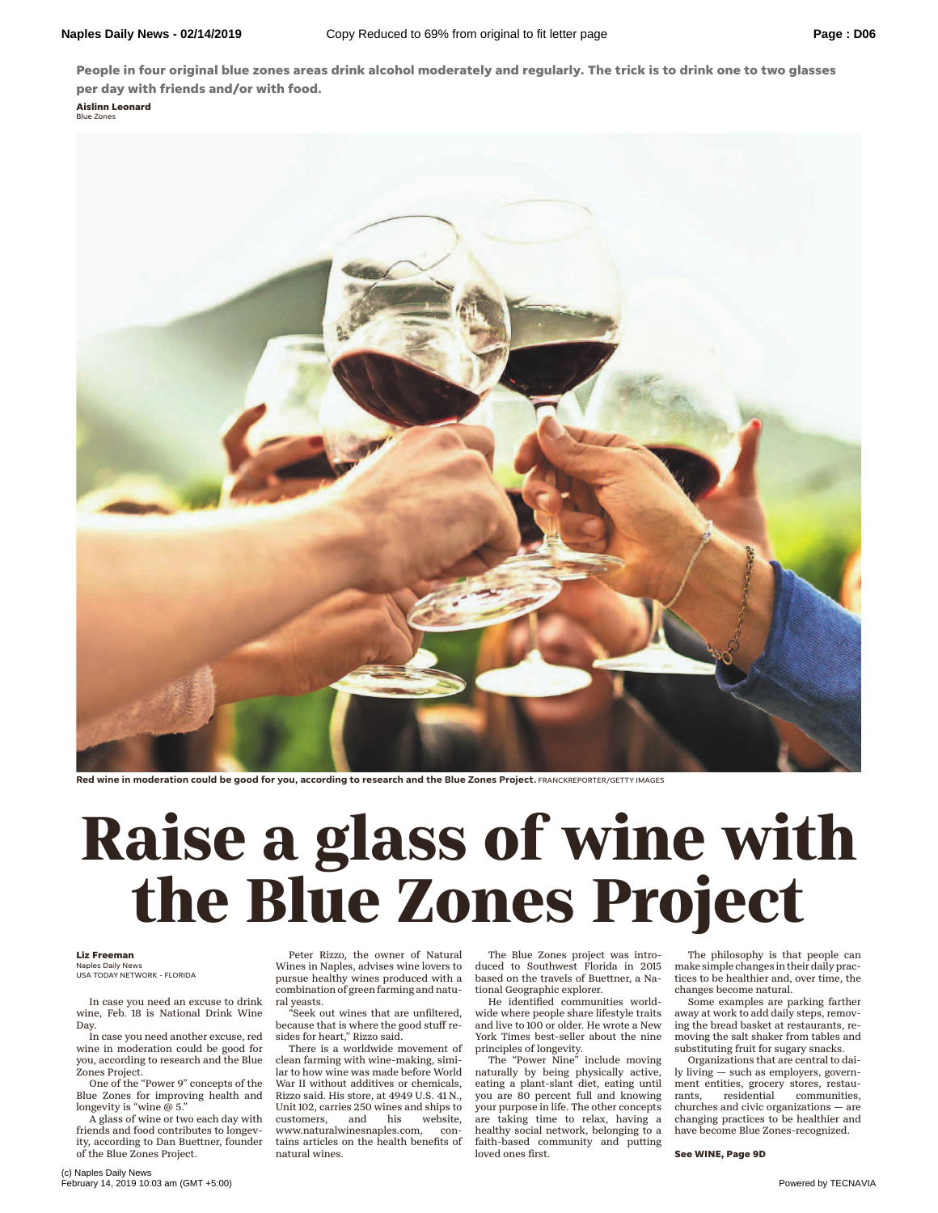**People in four original blue zones areas drink alcohol moderately and regularly. The trick is to drink one to two glasses per day with friends and/or with food.**

**Aislinn Leonard** Blue Zones



**Red wine in moderation could be good for you, according to research and the Blue Zones Project.** FRANCKREPORTER/GETTY IMAGES

## **The Blue Zones Project**

## **Liz Freeman**

Naples Daily News USA TODAY NETWORK - FLORIDA

In case you need an excuse to drink wine, Feb. 18 is National Drink Wine Day.

In case you need another excuse, red wine in moderation could be good for you, according to research and the Blue Zones Project.

One of the "Power 9" concepts of the Blue Zones for improving health and longevity is "wine  $\hat{\varpi}$  5."

A glass of wine or two each day with friends and food contributes to longevity, according to Dan Buettner, founder of the Blue Zones Project.

Peter Rizzo, the owner of Natural Wines in Naples, advises wine lovers to pursue healthy wines produced with a combination of green farming and natural yeasts. Peter Rizzo, the owner of Natural The Blue Zones project was intro-<br>We philosophy is that Wines in Naples, advises wine lovers to duced to Southwest Florida in 2015 make simple changes in their pursue healthy wines produce

"Seek out wines that are unfiltered, because that is where the good stuff resides for heart," Rizzo said.

There is a worldwide movement of clean farming with wine-making, similar to how wine was made before World War II without additives or chemicals, Rizzo said. His store, at 4949 U.S. 41 N., Unit 102, carries 250 wines and ships to<br>customers, and his website, customers, www.naturalwinesnaples.com, contains articles on the health benefits of natural wines.

The Blue Zones project was introduced to Southwest Florida in 2015 based on the travels of Buettner, a National Geographic explorer.

He identified communities worldwide where people share lifestyle traits and live to 100 or older. He wrote a New York Times best-seller about the nine

principles of longevity. The "Power Nine" include moving naturally by being physically active, eating a plant-slant diet, eating until you are 80 percent full and knowing your purpose in life. The other concepts are taking time to relax, having a healthy social network, belonging to a faith-based community and putting loved ones first.

The philosophy is that people can make simple changes in their daily practices to be healthier and, over time, the changes become natural.

Some examples are parking farther away at work to add daily steps, removing the bread basket at restaurants, removing the salt shaker from tables and substituting fruit for sugary snacks.

Organizations that are central to daily living — such as employers, government entities, grocery stores, restau-<br>rants, residential communities, rants, residential communities, churches and civic organizations — are changing practices to be healthier and have become Blue Zones-recognized.